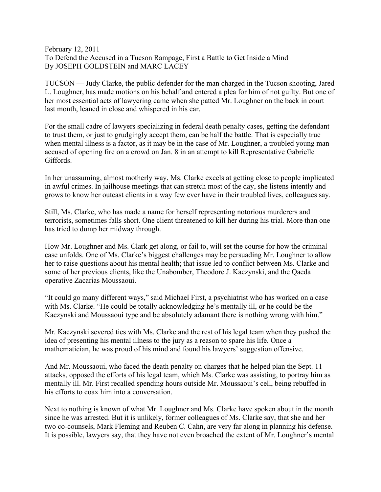February 12, 2011 To Defend the Accused in a Tucson Rampage, First a Battle to Get Inside a Mind By JOSEPH GOLDSTEIN and MARC LACEY

TUCSON — Judy Clarke, the public defender for the man charged in the Tucson shooting, Jared L. Loughner, has made motions on his behalf and entered a plea for him of not guilty. But one of her most essential acts of lawyering came when she patted Mr. Loughner on the back in court last month, leaned in close and whispered in his ear.

For the small cadre of lawyers specializing in federal death penalty cases, getting the defendant to trust them, or just to grudgingly accept them, can be half the battle. That is especially true when mental illness is a factor, as it may be in the case of Mr. Loughner, a troubled young man accused of opening fire on a crowd on Jan. 8 in an attempt to kill Representative Gabrielle Giffords.

In her unassuming, almost motherly way, Ms. Clarke excels at getting close to people implicated in awful crimes. In jailhouse meetings that can stretch most of the day, she listens intently and grows to know her outcast clients in a way few ever have in their troubled lives, colleagues say.

Still, Ms. Clarke, who has made a name for herself representing notorious murderers and terrorists, sometimes falls short. One client threatened to kill her during his trial. More than one has tried to dump her midway through.

How Mr. Loughner and Ms. Clark get along, or fail to, will set the course for how the criminal case unfolds. One of Ms. Clarke's biggest challenges may be persuading Mr. Loughner to allow her to raise questions about his mental health; that issue led to conflict between Ms. Clarke and some of her previous clients, like the Unabomber, Theodore J. Kaczynski, and the Qaeda operative Zacarias Moussaoui.

"It could go many different ways," said Michael First, a psychiatrist who has worked on a case with Ms. Clarke. "He could be totally acknowledging he's mentally ill, or he could be the Kaczynski and Moussaoui type and be absolutely adamant there is nothing wrong with him."

Mr. Kaczynski severed ties with Ms. Clarke and the rest of his legal team when they pushed the idea of presenting his mental illness to the jury as a reason to spare his life. Once a mathematician, he was proud of his mind and found his lawyers' suggestion offensive.

And Mr. Moussaoui, who faced the death penalty on charges that he helped plan the Sept. 11 attacks, opposed the efforts of his legal team, which Ms. Clarke was assisting, to portray him as mentally ill. Mr. First recalled spending hours outside Mr. Moussaoui's cell, being rebuffed in his efforts to coax him into a conversation.

Next to nothing is known of what Mr. Loughner and Ms. Clarke have spoken about in the month since he was arrested. But it is unlikely, former colleagues of Ms. Clarke say, that she and her two co-counsels, Mark Fleming and Reuben C. Cahn, are very far along in planning his defense. It is possible, lawyers say, that they have not even broached the extent of Mr. Loughner's mental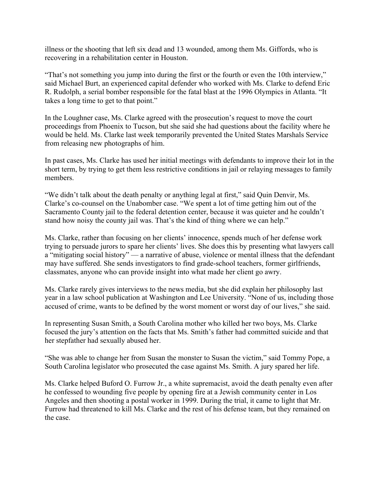illness or the shooting that left six dead and 13 wounded, among them Ms. Giffords, who is recovering in a rehabilitation center in Houston.

"That's not something you jump into during the first or the fourth or even the 10th interview," said Michael Burt, an experienced capital defender who worked with Ms. Clarke to defend Eric R. Rudolph, a serial bomber responsible for the fatal blast at the 1996 Olympics in Atlanta. "It takes a long time to get to that point."

In the Loughner case, Ms. Clarke agreed with the prosecution's request to move the court proceedings from Phoenix to Tucson, but she said she had questions about the facility where he would be held. Ms. Clarke last week temporarily prevented the United States Marshals Service from releasing new photographs of him.

In past cases, Ms. Clarke has used her initial meetings with defendants to improve their lot in the short term, by trying to get them less restrictive conditions in jail or relaying messages to family members.

"We didn't talk about the death penalty or anything legal at first," said Quin Denvir, Ms. Clarke's co-counsel on the Unabomber case. "We spent a lot of time getting him out of the Sacramento County jail to the federal detention center, because it was quieter and he couldn't stand how noisy the county jail was. That's the kind of thing where we can help."

Ms. Clarke, rather than focusing on her clients' innocence, spends much of her defense work trying to persuade jurors to spare her clients' lives. She does this by presenting what lawyers call a "mitigating social history" — a narrative of abuse, violence or mental illness that the defendant may have suffered. She sends investigators to find grade-school teachers, former girlfriends, classmates, anyone who can provide insight into what made her client go awry.

Ms. Clarke rarely gives interviews to the news media, but she did explain her philosophy last year in a law school publication at Washington and Lee University. "None of us, including those accused of crime, wants to be defined by the worst moment or worst day of our lives," she said.

In representing Susan Smith, a South Carolina mother who killed her two boys, Ms. Clarke focused the jury's attention on the facts that Ms. Smith's father had committed suicide and that her stepfather had sexually abused her.

"She was able to change her from Susan the monster to Susan the victim," said Tommy Pope, a South Carolina legislator who prosecuted the case against Ms. Smith. A jury spared her life.

Ms. Clarke helped Buford O. Furrow Jr., a white supremacist, avoid the death penalty even after he confessed to wounding five people by opening fire at a Jewish community center in Los Angeles and then shooting a postal worker in 1999. During the trial, it came to light that Mr. Furrow had threatened to kill Ms. Clarke and the rest of his defense team, but they remained on the case.